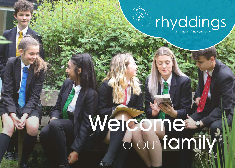#### rhyddings

#### to our family Welcome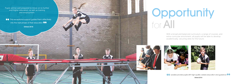Ofsted 2018

Pupils will be well prepared to move on to further and higher education, as well as training and employment.

**66** This exceptional support guides them effectively into the next phase of their education 99

Ofsted 2018

With a broad and balanced curriculum, a range of courses, and extra-curricular enrichment, all pupils will be able to develop academically; securing skills for the future.







**66** Leaders provide pupils with high-quality careers education and guidance 99

## Opportunity for All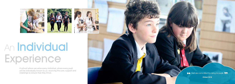Ofsted 2018

A school where we value every individual, where every pupil will be individually known to us: receiving the care, support and challenge to ensure that they thrive.



 $\overline{\bullet}\overline{\bullet}$  Staff are committed to caring for pupils  $\overline{\bullet}\overline{\bullet}$ 







### An Individual Experience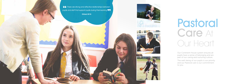#### Pastoral Care At Our Heart

66 There are strong and effective relationships between pupils and staff that support pupils during their learning 99

Ofsted 2018







Our Continent House system ensures all pupils have a sense of belonging and are part of our caring and nurturing culture.

The well-being of our pupils is our priority and our Pastoral care is our commitment to you.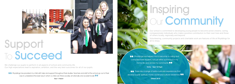We challenge our pupils to perform in all aspects of school and community life. Our high expectations lead to aspiration, ambition, and the very best outcomes for all of our pupils.

**CO** Rhyddings has provided my child with help and support throughout their studies. Teachers and staff at the school go out of their way to understand the best way in which a child can thrive socially, emotionally and academically

# Inspiring Our Community

Our school is committed to developing young people to become active citizens; caring, compassionate individuals who make a positive contribution to their own lives and those of others locally, regionally and beyond.

Volunteering, community projects and charitable work are features of life at Rhyddings for all to enjoy.

**66** Rhyddings has helped me to become a caring and compassionate student, not just within school but in my home life and across my community 99





### Support To Succeed

Year 11 Parent

Ofsted 2018

Trinity - Year 10 Pupil

66 There are a range of extra-curricular experiences that develop pupils' spiritual, moral, social and cultural awareness 99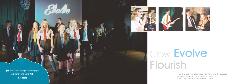**66** The overwhelming majority of pupils are friendly and polite 99

Ofsted 2018







This is where your child's journey starts and the passage to adult life is nurtured, fostered and developed. Rhyddings: where your child will flourish.

### Grow, Evolve Flourish